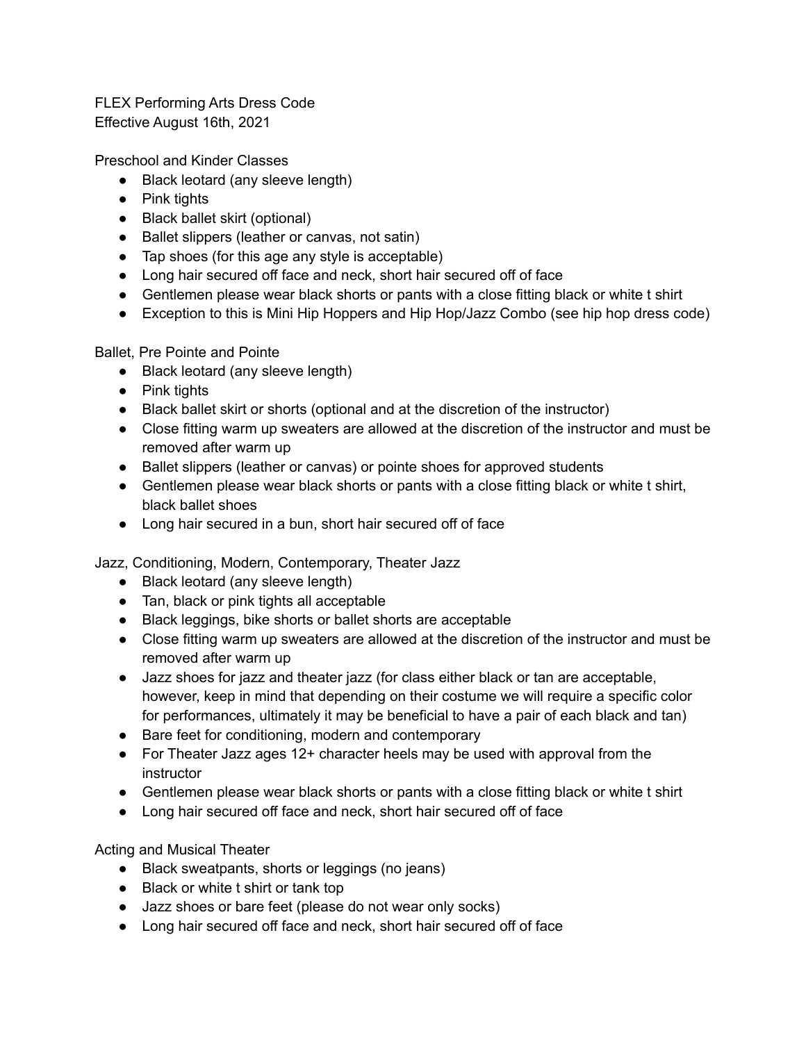FLEX Performing Arts Dress Code Effective August 16th, 2021

Preschool and Kinder Classes

- Black leotard (any sleeve length)
- Pink tights
- Black ballet skirt (optional)
- Ballet slippers (leather or canvas, not satin)
- Tap shoes (for this age any style is acceptable)
- Long hair secured off face and neck, short hair secured off of face
- Gentlemen please wear black shorts or pants with a close fitting black or white t shirt
- Exception to this is Mini Hip Hoppers and Hip Hop/Jazz Combo (see hip hop dress code)

Ballet, Pre Pointe and Pointe

- Black leotard (any sleeve length)
- Pink tights
- Black ballet skirt or shorts (optional and at the discretion of the instructor)
- Close fitting warm up sweaters are allowed at the discretion of the instructor and must be removed after warm up
- Ballet slippers (leather or canvas) or pointe shoes for approved students
- Gentlemen please wear black shorts or pants with a close fitting black or white t shirt, black ballet shoes
- Long hair secured in a bun, short hair secured off of face

Jazz, Conditioning, Modern, Contemporary, Theater Jazz

- Black leotard (any sleeve length)
- Tan, black or pink tights all acceptable
- Black leggings, bike shorts or ballet shorts are acceptable
- Close fitting warm up sweaters are allowed at the discretion of the instructor and must be removed after warm up
- Jazz shoes for jazz and theater jazz (for class either black or tan are acceptable, however, keep in mind that depending on their costume we will require a specific color for performances, ultimately it may be beneficial to have a pair of each black and tan)
- Bare feet for conditioning, modern and contemporary
- For Theater Jazz ages 12+ character heels may be used with approval from the instructor
- Gentlemen please wear black shorts or pants with a close fitting black or white t shirt
- Long hair secured off face and neck, short hair secured off of face

Acting and Musical Theater

- Black sweatpants, shorts or leggings (no jeans)
- Black or white t shirt or tank top
- Jazz shoes or bare feet (please do not wear only socks)
- Long hair secured off face and neck, short hair secured off of face